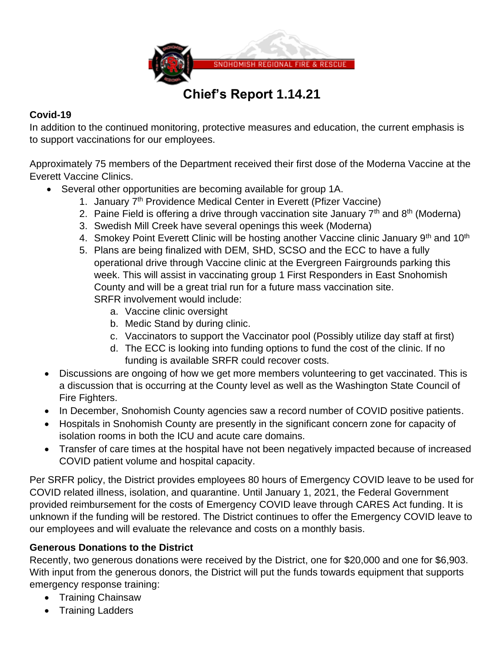

# **Chief's Report 1.14.21**

# **Covid-19**

In addition to the continued monitoring, protective measures and education, the current emphasis is to support vaccinations for our employees.

Approximately 75 members of the Department received their first dose of the Moderna Vaccine at the Everett Vaccine Clinics.

- Several other opportunities are becoming available for group 1A.
	- 1. January 7<sup>th</sup> Providence Medical Center in Everett (Pfizer Vaccine)
	- 2. Paine Field is offering a drive through vaccination site January  $7<sup>th</sup>$  and  $8<sup>th</sup>$  (Moderna)
	- 3. Swedish Mill Creek have several openings this week (Moderna)
	- 4. Smokey Point Everett Clinic will be hosting another Vaccine clinic January 9<sup>th</sup> and 10<sup>th</sup>
	- 5. Plans are being finalized with DEM, SHD, SCSO and the ECC to have a fully operational drive through Vaccine clinic at the Evergreen Fairgrounds parking this week. This will assist in vaccinating group 1 First Responders in East Snohomish County and will be a great trial run for a future mass vaccination site. SRFR involvement would include:
		- a. Vaccine clinic oversight
		- b. Medic Stand by during clinic.
		- c. Vaccinators to support the Vaccinator pool (Possibly utilize day staff at first)
		- d. The ECC is looking into funding options to fund the cost of the clinic. If no funding is available SRFR could recover costs.
- Discussions are ongoing of how we get more members volunteering to get vaccinated. This is a discussion that is occurring at the County level as well as the Washington State Council of Fire Fighters.
- In December, Snohomish County agencies saw a record number of COVID positive patients.
- Hospitals in Snohomish County are presently in the significant concern zone for capacity of isolation rooms in both the ICU and acute care domains.
- Transfer of care times at the hospital have not been negatively impacted because of increased COVID patient volume and hospital capacity.

Per SRFR policy, the District provides employees 80 hours of Emergency COVID leave to be used for COVID related illness, isolation, and quarantine. Until January 1, 2021, the Federal Government provided reimbursement for the costs of Emergency COVID leave through CARES Act funding. It is unknown if the funding will be restored. The District continues to offer the Emergency COVID leave to our employees and will evaluate the relevance and costs on a monthly basis.

# **Generous Donations to the District**

Recently, two generous donations were received by the District, one for \$20,000 and one for \$6,903. With input from the generous donors, the District will put the funds towards equipment that supports emergency response training:

- Training Chainsaw
- Training Ladders